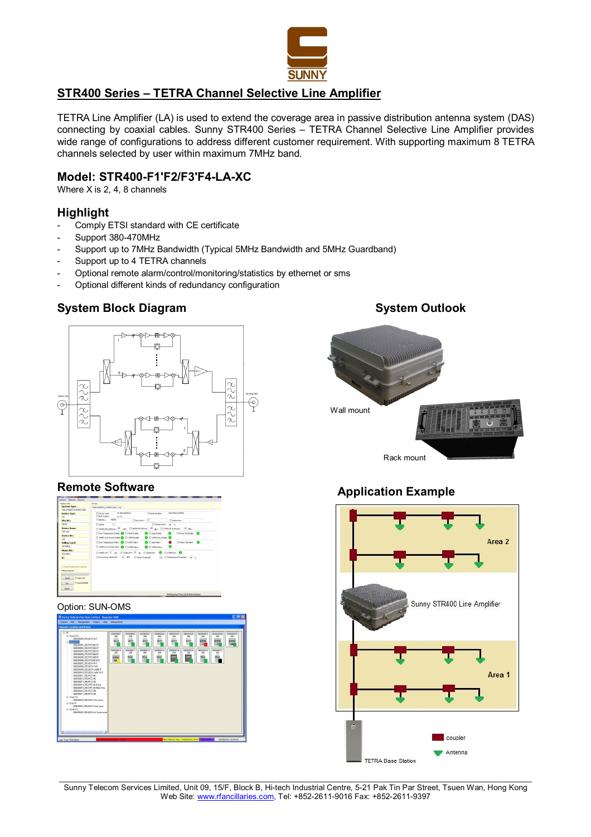

# **STR400 Series – TETRA Channel Selective Line Amplifier**

TETRA Line Amplifier (LA) is used to extend the coverage area in passive distribution antenna system (DAS) connecting by coaxial cables. Sunny STR400 Series – TETRA Channel Selective Line Amplifier provides wide range of configurations to address different customer requirement. With supporting maximum 8 TETRA channels selected by user within maximum 7MHz band.

## **Model: STR400-F1'F2/F3'F4-LA-XC**

Where X is 2, 4, 8 channels

## **Highlight**

- Comply ETSI standard with CE certificate
- Support 380-470MHz
- Support up to 7MHz Bandwidth (Typical 5MHz Bandwidth and 5MHz Guardband)
- Support up to 4 TETRA channels
- Optional remote alarm/control/monitoring/statistics by ethernet or sms
- Optional different kinds of redundancy configuration

# **System Block Diagram System Outlook**



## **Remote Software**

| <b>Quitary Info</b>                            | Castre                                                                                                                                                          |  |  |  |  |
|------------------------------------------------|-----------------------------------------------------------------------------------------------------------------------------------------------------------------|--|--|--|--|
| <b>System Type:</b><br>MISSOURCES LEATED LINOT | 491 198210901 HOPOTERS Info.                                                                                                                                    |  |  |  |  |
| <b>Device Type:</b>                            | 410010405911<br>ML0340201289005<br><b>Tifiserial Numbers</b><br><b>Carvice Type:</b>                                                                            |  |  |  |  |
| MI                                             | Soft Version:<br>V1.17                                                                                                                                          |  |  |  |  |
| Site 80.1                                      | 96542<br>Site No. 1<br>Theyer No. 255<br>El Recort No. 1                                                                                                        |  |  |  |  |
| GERAD.                                         | TiTemperature: 38 v<br><b>TYSMR:</b><br>1.1                                                                                                                     |  |  |  |  |
| <b>Device Name:</b>                            | TESPRICKOUPONE: 25 dbs. ED009101090ver: 40 dbs. ED12491UPOU90ver: -35 dbs.                                                                                      |  |  |  |  |
| SMT test                                       | <b>Cour Temperature Enable @ ITT VSIVR Enable</b><br><b>C</b> IT Gate Enable<br>Power Fall Drable (C)                                                           |  |  |  |  |
| Device NO.:                                    |                                                                                                                                                                 |  |  |  |  |
| 266                                            | <b>O</b> El secontural Enable <b>O</b><br>LE40M Over Power Enable (   1749M Enable                                                                              |  |  |  |  |
| <b>Polling Level:</b>                          | <b>Call Gate Alarm</b><br><b>Player Fal Airm</b><br>Coer Temperature Alam C ETI ISVR Alam<br>LE40M Over Power Alarm @ IT L745M Alarm<br><b>O</b> IT LEADY Alarm |  |  |  |  |
| No Poling                                      |                                                                                                                                                                 |  |  |  |  |
| Phone 80.1                                     |                                                                                                                                                                 |  |  |  |  |
| 02224622                                       | Принят: <sup>0</sup> и Принят: <sup>10</sup> и Приняк • Приняк • •                                                                                              |  |  |  |  |
| 护:                                             | Coar Power 19494 Th: 45 dDm El ISWA Threshold: 4.5 El Temperature Threshold: 80 c                                                                               |  |  |  |  |
| El Reset Madembriter nolinci                   |                                                                                                                                                                 |  |  |  |  |
| Poling progress                                |                                                                                                                                                                 |  |  |  |  |
|                                                |                                                                                                                                                                 |  |  |  |  |
| Select All<br>Read                             |                                                                                                                                                                 |  |  |  |  |
|                                                |                                                                                                                                                                 |  |  |  |  |
| Auto Refresh<br><b>Cab</b>                     |                                                                                                                                                                 |  |  |  |  |

#### Option: SUN-OMS

| $\otimes$ AI                                                                                                                                                                                                                                                                                                                                                                                                                                                                                                                                                                                                                                               |                                                                               |                                                               |                                                           |                                                           |                                                      |                                                            |                                                                                       |                                                             |                                            |
|------------------------------------------------------------------------------------------------------------------------------------------------------------------------------------------------------------------------------------------------------------------------------------------------------------------------------------------------------------------------------------------------------------------------------------------------------------------------------------------------------------------------------------------------------------------------------------------------------------------------------------------------------------|-------------------------------------------------------------------------------|---------------------------------------------------------------|-----------------------------------------------------------|-----------------------------------------------------------|------------------------------------------------------|------------------------------------------------------------|---------------------------------------------------------------------------------------|-------------------------------------------------------------|--------------------------------------------|
| Surre (1)<br>a<br>00000000.255.DEN G/F<br>$\approx$ Norfs 1171<br>00000001.255 RP2381/F<br>000000032255.RP23892/F<br>00000003255 RP2383/F<br>00000004 255 RP2364/F<br>00000005.255 RP2306/F<br>00000006.255 RP23@10/F<br>0000007255.0EN.B/E<br>00000008.255.DEN 10/F<br>00000003255.DEN LABB/F<br>00000010.255.DEN LA/R 10/F<br>00000011255 PICO #1<br>00000012.255 PICO #2<br>00000013.255.PICO #3<br>00000014.255.DPD @ Office<br>00000015.255.DPD @ Meter Rm<br>00000016.255 PICO #4<br>00000017.255 PICO #5<br>G-West [1]<br>000000018.255.DPD West zone<br>G East (1)<br>00000019.255.DEN West zone<br>G South ITI<br>00000020.255.0 EN LA South zone | 000000001<br>255<br>RP23<br>w<br>000000010<br>255<br><b>IDEN</b><br><b>LA</b> | 00000002<br>255<br>RP23<br>ш<br>000000011<br>255<br>PECO<br>u | mmmm<br>255<br>RP23<br>ш<br>00000012<br>295<br>PECO<br>i. | 000000004<br>289<br>RP23<br>ш<br>000000013<br>295<br>PECO | roomms.<br>255<br>RP23<br>ш<br>000000014<br>255<br>P | mmms<br>255<br>RP23<br>ш<br>000000015<br>255<br><u>oro</u> | recomments.<br>255<br><b>IDEN</b><br>$\blacksquare$<br>000000016<br>255<br>PICO<br>i. | rooms<br>255<br><b>IDEN</b><br>×<br>000000017<br>255<br>PKO | noncome<br>255<br><b>IDEN</b><br><b>MA</b> |



# **Application Example**